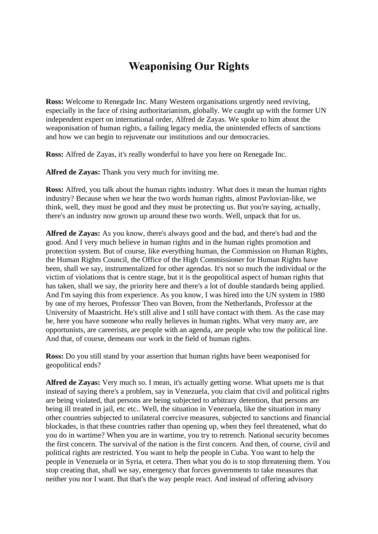## **Weaponising Our Rights**

**Ross:** Welcome to Renegade Inc. Many Western organisations urgently need reviving, especially in the face of rising authoritarianism, globally. We caught up with the former UN independent expert on international order, Alfred de Zayas. We spoke to him about the weaponisation of human rights, a failing legacy media, the unintended effects of sanctions and how we can begin to rejuvenate our institutions and our democracies.

**Ross:** Alfred de Zayas, it's really wonderful to have you here on Renegade Inc.

**Alfred de Zayas:** Thank you very much for inviting me.

**Ross:** Alfred, you talk about the human rights industry. What does it mean the human rights industry? Because when we hear the two words human rights, almost Pavlovian-like, we think, well, they must be good and they must be protecting us. But you're saying, actually, there's an industry now grown up around these two words. Well, unpack that for us.

**Alfred de Zayas:** As you know, there's always good and the bad, and there's bad and the good. And I very much believe in human rights and in the human rights promotion and protection system. But of course, like everything human, the Commission on Human Rights, the Human Rights Council, the Office of the High Commissioner for Human Rights have been, shall we say, instrumentalized for other agendas. It's not so much the individual or the victim of violations that is centre stage, but it is the geopolitical aspect of human rights that has taken, shall we say, the priority here and there's a lot of double standards being applied. And I'm saying this from experience. As you know, I was hired into the UN system in 1980 by one of my heroes, Professor Theo van Boven, from the Netherlands, Professor at the University of Maastricht. He's still alive and I still have contact with them. As the case may be, here you have someone who really believes in human rights. What very many are, are opportunists, are careerists, are people with an agenda, are people who tow the political line. And that, of course, demeans our work in the field of human rights.

**Ross:** Do you still stand by your assertion that human rights have been weaponised for geopolitical ends?

**Alfred de Zayas:** Very much so. I mean, it's actually getting worse. What upsets me is that instead of saying there's a problem, say in Venezuela, you claim that civil and political rights are being violated, that persons are being subjected to arbitrary detention, that persons are being ill treated in jail, etc etc.. Well, the situation in Venezuela, like the situation in many other countries subjected to unilateral coercive measures, subjected to sanctions and financial blockades, is that these countries rather than opening up, when they feel threatened, what do you do in wartime? When you are in wartime, you try to retrench. National security becomes the first concern. The survival of the nation is the first concern. And then, of course, civil and political rights are restricted. You want to help the people in Cuba. You want to help the people in Venezuela or in Syria, et cetera. Then what you do is to stop threatening them. You stop creating that, shall we say, emergency that forces governments to take measures that neither you nor I want. But that's the way people react. And instead of offering advisory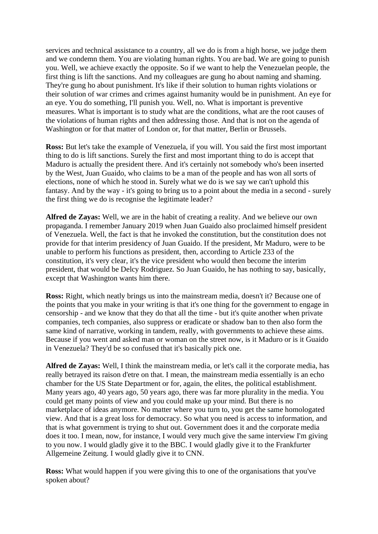services and technical assistance to a country, all we do is from a high horse, we judge them and we condemn them. You are violating human rights. You are bad. We are going to punish you. Well, we achieve exactly the opposite. So if we want to help the Venezuelan people, the first thing is lift the sanctions. And my colleagues are gung ho about naming and shaming. They're gung ho about punishment. It's like if their solution to human rights violations or their solution of war crimes and crimes against humanity would be in punishment. An eye for an eye. You do something, I'll punish you. Well, no. What is important is preventive measures. What is important is to study what are the conditions, what are the root causes of the violations of human rights and then addressing those. And that is not on the agenda of Washington or for that matter of London or, for that matter, Berlin or Brussels.

**Ross:** But let's take the example of Venezuela, if you will. You said the first most important thing to do is lift sanctions. Surely the first and most important thing to do is accept that Maduro is actually the president there. And it's certainly not somebody who's been inserted by the West, Juan Guaido, who claims to be a man of the people and has won all sorts of elections, none of which he stood in. Surely what we do is we say we can't uphold this fantasy. And by the way - it's going to bring us to a point about the media in a second - surely the first thing we do is recognise the legitimate leader?

**Alfred de Zayas:** Well, we are in the habit of creating a reality. And we believe our own propaganda. I remember January 2019 when Juan Guaido also proclaimed himself president of Venezuela. Well, the fact is that he invoked the constitution, but the constitution does not provide for that interim presidency of Juan Guaido. If the president, Mr Maduro, were to be unable to perform his functions as president, then, according to Article 233 of the constitution, it's very clear, it's the vice president who would then become the interim president, that would be Delcy Rodriguez. So Juan Guaido, he has nothing to say, basically, except that Washington wants him there.

**Ross:** Right, which neatly brings us into the mainstream media, doesn't it? Because one of the points that you make in your writing is that it's one thing for the government to engage in censorship - and we know that they do that all the time - but it's quite another when private companies, tech companies, also suppress or eradicate or shadow ban to then also form the same kind of narrative, working in tandem, really, with governments to achieve these aims. Because if you went and asked man or woman on the street now, is it Maduro or is it Guaido in Venezuela? They'd be so confused that it's basically pick one.

**Alfred de Zayas:** Well, I think the mainstream media, or let's call it the corporate media, has really betrayed its raison d'etre on that. I mean, the mainstream media essentially is an echo chamber for the US State Department or for, again, the elites, the political establishment. Many years ago, 40 years ago, 50 years ago, there was far more plurality in the media. You could get many points of view and you could make up your mind. But there is no marketplace of ideas anymore. No matter where you turn to, you get the same homologated view. And that is a great loss for democracy. So what you need is access to information, and that is what government is trying to shut out. Government does it and the corporate media does it too. I mean, now, for instance, I would very much give the same interview I'm giving to you now. I would gladly give it to the BBC. I would gladly give it to the Frankfurter Allgemeine Zeitung. I would gladly give it to CNN.

**Ross:** What would happen if you were giving this to one of the organisations that you've spoken about?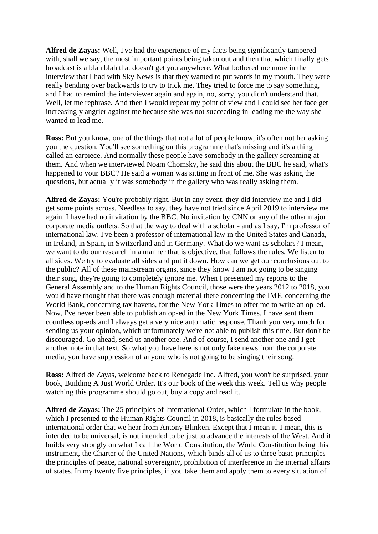**Alfred de Zayas:** Well, I've had the experience of my facts being significantly tampered with, shall we say, the most important points being taken out and then that which finally gets broadcast is a blah blah that doesn't get you anywhere. What bothered me more in the interview that I had with Sky News is that they wanted to put words in my mouth. They were really bending over backwards to try to trick me. They tried to force me to say something, and I had to remind the interviewer again and again, no, sorry, you didn't understand that. Well, let me rephrase. And then I would repeat my point of view and I could see her face get increasingly angrier against me because she was not succeeding in leading me the way she wanted to lead me.

**Ross:** But you know, one of the things that not a lot of people know, it's often not her asking you the question. You'll see something on this programme that's missing and it's a thing called an earpiece. And normally these people have somebody in the gallery screaming at them. And when we interviewed Noam Chomsky, he said this about the BBC he said, what's happened to your BBC? He said a woman was sitting in front of me. She was asking the questions, but actually it was somebody in the gallery who was really asking them.

**Alfred de Zayas:** You're probably right. But in any event, they did interview me and I did get some points across. Needless to say, they have not tried since April 2019 to interview me again. I have had no invitation by the BBC. No invitation by CNN or any of the other major corporate media outlets. So that the way to deal with a scholar - and as I say, I'm professor of international law. I've been a professor of international law in the United States and Canada, in Ireland, in Spain, in Switzerland and in Germany. What do we want as scholars? I mean, we want to do our research in a manner that is objective, that follows the rules. We listen to all sides. We try to evaluate all sides and put it down. How can we get our conclusions out to the public? All of these mainstream organs, since they know I am not going to be singing their song, they're going to completely ignore me. When I presented my reports to the General Assembly and to the Human Rights Council, those were the years 2012 to 2018, you would have thought that there was enough material there concerning the IMF, concerning the World Bank, concerning tax havens, for the New York Times to offer me to write an op-ed. Now, I've never been able to publish an op-ed in the New York Times. I have sent them countless op-eds and I always get a very nice automatic response. Thank you very much for sending us your opinion, which unfortunately we're not able to publish this time. But don't be discouraged. Go ahead, send us another one. And of course, I send another one and I get another note in that text. So what you have here is not only fake news from the corporate media, you have suppression of anyone who is not going to be singing their song.

**Ross:** Alfred de Zayas, welcome back to Renegade Inc. Alfred, you won't be surprised, your book, Building A Just World Order. It's our book of the week this week. Tell us why people watching this programme should go out, buy a copy and read it.

**Alfred de Zayas:** The 25 principles of International Order, which I formulate in the book, which I presented to the Human Rights Council in 2018, is basically the rules based international order that we hear from Antony Blinken. Except that I mean it. I mean, this is intended to be universal, is not intended to be just to advance the interests of the West. And it builds very strongly on what I call the World Constitution, the World Constitution being this instrument, the Charter of the United Nations, which binds all of us to three basic principles the principles of peace, national sovereignty, prohibition of interference in the internal affairs of states. In my twenty five principles, if you take them and apply them to every situation of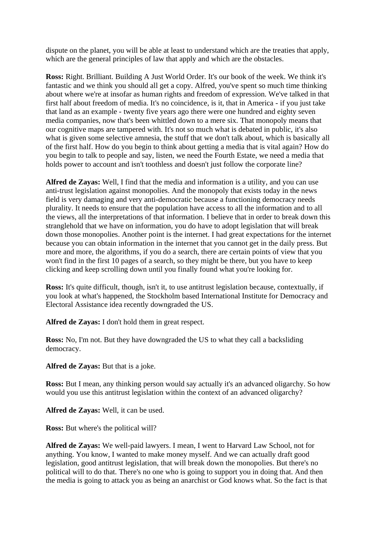dispute on the planet, you will be able at least to understand which are the treaties that apply, which are the general principles of law that apply and which are the obstacles.

**Ross:** Right. Brilliant. Building A Just World Order. It's our book of the week. We think it's fantastic and we think you should all get a copy. Alfred, you've spent so much time thinking about where we're at insofar as human rights and freedom of expression. We've talked in that first half about freedom of media. It's no coincidence, is it, that in America - if you just take that land as an example - twenty five years ago there were one hundred and eighty seven media companies, now that's been whittled down to a mere six. That monopoly means that our cognitive maps are tampered with. It's not so much what is debated in public, it's also what is given some selective amnesia, the stuff that we don't talk about, which is basically all of the first half. How do you begin to think about getting a media that is vital again? How do you begin to talk to people and say, listen, we need the Fourth Estate, we need a media that holds power to account and isn't toothless and doesn't just follow the corporate line?

**Alfred de Zayas:** Well, I find that the media and information is a utility, and you can use anti-trust legislation against monopolies. And the monopoly that exists today in the news field is very damaging and very anti-democratic because a functioning democracy needs plurality. It needs to ensure that the population have access to all the information and to all the views, all the interpretations of that information. I believe that in order to break down this stranglehold that we have on information, you do have to adopt legislation that will break down those monopolies. Another point is the internet. I had great expectations for the internet because you can obtain information in the internet that you cannot get in the daily press. But more and more, the algorithms, if you do a search, there are certain points of view that you won't find in the first 10 pages of a search, so they might be there, but you have to keep clicking and keep scrolling down until you finally found what you're looking for.

**Ross:** It's quite difficult, though, isn't it, to use antitrust legislation because, contextually, if you look at what's happened, the Stockholm based International Institute for Democracy and Electoral Assistance idea recently downgraded the US.

**Alfred de Zayas:** I don't hold them in great respect.

**Ross:** No, I'm not. But they have downgraded the US to what they call a backsliding democracy.

**Alfred de Zayas:** But that is a joke.

**Ross:** But I mean, any thinking person would say actually it's an advanced oligarchy. So how would you use this antitrust legislation within the context of an advanced oligarchy?

**Alfred de Zayas:** Well, it can be used.

**Ross:** But where's the political will?

**Alfred de Zayas:** We well-paid lawyers. I mean, I went to Harvard Law School, not for anything. You know, I wanted to make money myself. And we can actually draft good legislation, good antitrust legislation, that will break down the monopolies. But there's no political will to do that. There's no one who is going to support you in doing that. And then the media is going to attack you as being an anarchist or God knows what. So the fact is that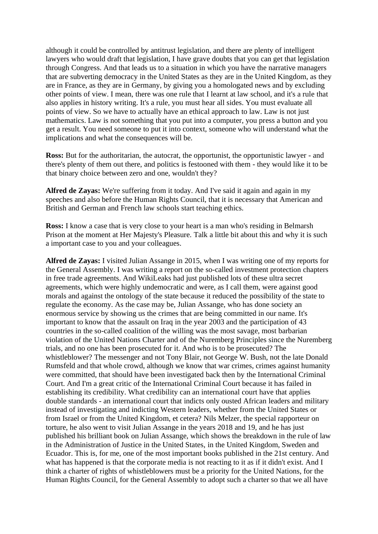although it could be controlled by antitrust legislation, and there are plenty of intelligent lawyers who would draft that legislation, I have grave doubts that you can get that legislation through Congress. And that leads us to a situation in which you have the narrative managers that are subverting democracy in the United States as they are in the United Kingdom, as they are in France, as they are in Germany, by giving you a homologated news and by excluding other points of view. I mean, there was one rule that I learnt at law school, and it's a rule that also applies in history writing. It's a rule, you must hear all sides. You must evaluate all points of view. So we have to actually have an ethical approach to law. Law is not just mathematics. Law is not something that you put into a computer, you press a button and you get a result. You need someone to put it into context, someone who will understand what the implications and what the consequences will be.

**Ross:** But for the authoritarian, the autocrat, the opportunist, the opportunistic lawyer - and there's plenty of them out there, and politics is festooned with them - they would like it to be that binary choice between zero and one, wouldn't they?

**Alfred de Zayas:** We're suffering from it today. And I've said it again and again in my speeches and also before the Human Rights Council, that it is necessary that American and British and German and French law schools start teaching ethics.

**Ross:** I know a case that is very close to your heart is a man who's residing in Belmarsh Prison at the moment at Her Majesty's Pleasure. Talk a little bit about this and why it is such a important case to you and your colleagues.

**Alfred de Zayas:** I visited Julian Assange in 2015, when I was writing one of my reports for the General Assembly. I was writing a report on the so-called investment protection chapters in free trade agreements. And WikiLeaks had just published lots of these ultra secret agreements, which were highly undemocratic and were, as I call them, were against good morals and against the ontology of the state because it reduced the possibility of the state to regulate the economy. As the case may be, Julian Assange, who has done society an enormous service by showing us the crimes that are being committed in our name. It's important to know that the assault on Iraq in the year 2003 and the participation of 43 countries in the so-called coalition of the willing was the most savage, most barbarian violation of the United Nations Charter and of the Nuremberg Principles since the Nuremberg trials, and no one has been prosecuted for it. And who is to be prosecuted? The whistleblower? The messenger and not Tony Blair, not George W. Bush, not the late Donald Rumsfeld and that whole crowd, although we know that war crimes, crimes against humanity were committed, that should have been investigated back then by the International Criminal Court. And I'm a great critic of the International Criminal Court because it has failed in establishing its credibility. What credibility can an international court have that applies double standards - an international court that indicts only ousted African leaders and military instead of investigating and indicting Western leaders, whether from the United States or from Israel or from the United Kingdom, et cetera? Nils Melzer, the special rapporteur on torture, he also went to visit Julian Assange in the years 2018 and 19, and he has just published his brilliant book on Julian Assange, which shows the breakdown in the rule of law in the Administration of Justice in the United States, in the United Kingdom, Sweden and Ecuador. This is, for me, one of the most important books published in the 21st century. And what has happened is that the corporate media is not reacting to it as if it didn't exist. And I think a charter of rights of whistleblowers must be a priority for the United Nations, for the Human Rights Council, for the General Assembly to adopt such a charter so that we all have